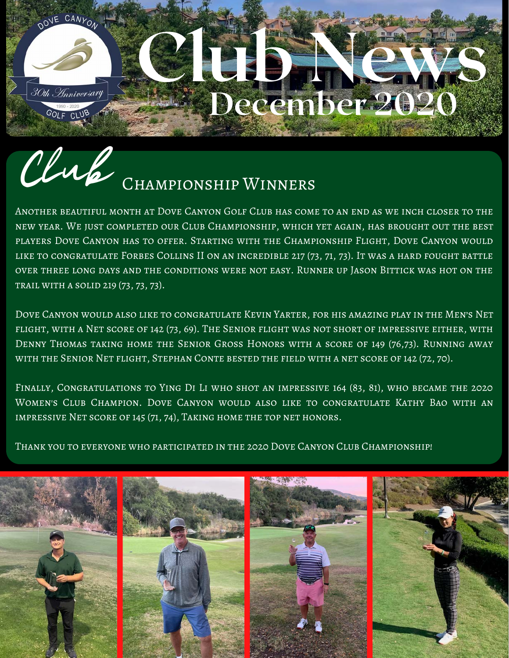## DOVE CANYON LE ES 30th Anniversary December 2020 GOLF CLUB

## Club CHAMPIONSHIP WINNERS

Another beautiful month at Dove Canyon Golf Club has come to an end as we inch closer to the new year. We just completed our Club Championship, which yet again, has brought out the best players Dove Canyon has to offer. Starting with the Championship Flight, Dove Canyon would like to congratulate Forbes Collins II on an incredible 217 (73, 71, 73). It was a hard fought battle over three long days and the conditions were not easy. Runner up Jason Bittick was hot on the trail with a solid 219 (73, 73, 73).

Dove Canyon would also like to congratulate Kevin Yarter, for his amazing play in the Men's Net flight, with a Net score of 142 (73, 69). The Senior flight was not short of impressive either, with Denny Thomas taking home the Senior Gross Honors with a score of 149 (76,73). Running away with the Senior Net flight, Stephan Conte bested the field with a net score of 142 (72, 70).

Finally, Congratulations to Ying Di Li who shot an impressive 164 (83, 81), who became the 2020 Women's Club Champion. Dove Canyon would also like to congratulate Kathy Bao with an impressive Net score of 145 (71, 74), Taking home the top net honors.

Thank you to everyone who participated in the 2020 Dove Canyon Club Championship!

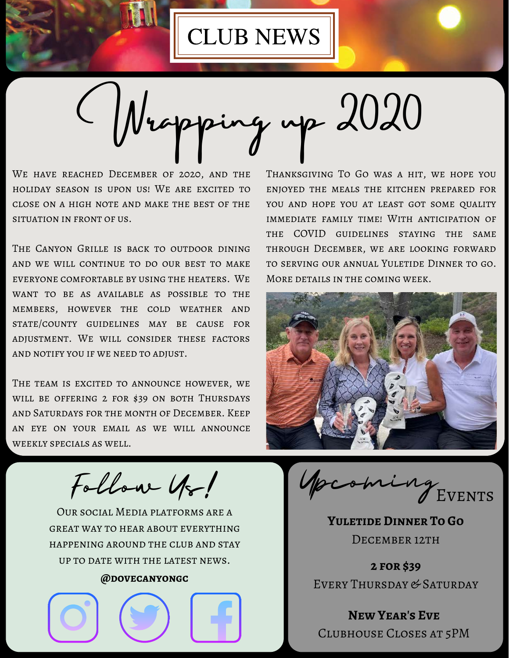

Wrapping up 2020

We have reached December of 2020, and the holiday season is upon us! We are excited to close on a high note and make the best of the situation in front of us.

THE CANYON GRILLE IS BACK TO OUTDOOR DINING and we will continue to do our best to make everyone comfortable by using the heaters. We want to be as available as possible to the members, however the cold weather and state/county guidelines may be cause for adjustment. We will consider these factors and notify you if we need to adjust.

THE TEAM IS EXCITED TO ANNOUNCE HOWEVER, WE will be offering 2 for \$39 on both Thursdays and Saturdays for the month of December. Keep an eye on your email as we will announce weekly specials as well.

Follow Us!

Our social Media platforms are a great way to hear about everything happening around the club and stay up to date with the latest news.

#### **@dovecanyongc**



Thanksgiving To Go was a hit, we hope you enjoyed the meals the kitchen prepared for YOU AND HOPE YOU AT LEAST GOT SOME QUALITY immediate family time! With anticipation of the COVID guidelines staying the same through December, we are looking forward to serving our annual Yuletide Dinner to go. More details in the coming week.



Upcoming Events

**Yuletide Dinner To Go** DECEMBER 12TH

**2 for \$39** EVERY THURSDAY & SATURDAY

**New Year's Eve** Clubhouse Closes at 5PM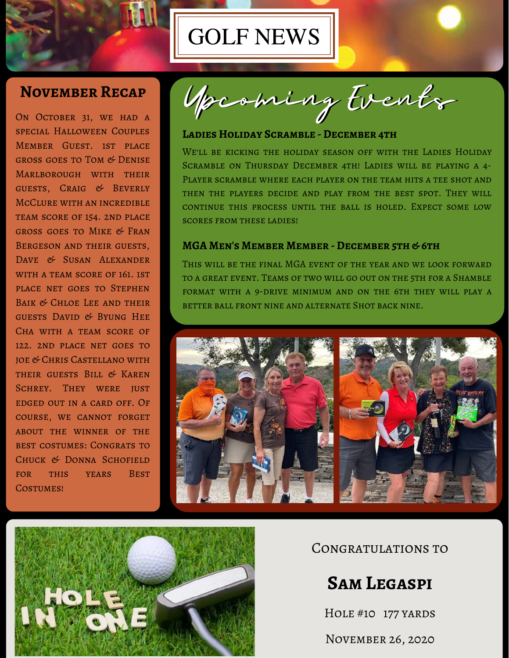

## GOLF NEWS

#### **November Recap**

ON OCTOBER 31, WE HAD A special Halloween Couples Member Guest. 1st place gross goes to Tom & Denise Marlborough with their guests, Craig & Beverly McClure with an incredible team score of 154. 2nd place gross goes to Mike & Fran Bergeson and their guests, DAVE & SUSAN ALEXANDER WITH A TEAM SCORE OF 161, 1ST place net goes to Stephen Baik & Chloe Lee and their guests David & Byung Hee Cha with a team score of 122. 2nd place net goes to joe & Chris Castellano with their guests Bill & Karen SCHREY. THEY WERE JUST edged out in a card off. Of course, we cannot forget about the winner of the best costumes: Congrats to Chuck & Donna Schofield for this years Best COSTUMES!

Upcoming Events

#### **Ladies Holiday Scramble - December 4th**

WE'LL BE KICKING THE HOLIDAY SEASON OFF WITH THE LADIES HOLIDAY Scramble on Thursday December 4th! Ladies will be playing a 4- Player scramble where each player on the team hits a tee shot and then the players decide and play from the best spot. They will continue this process until the ball is holed. Expect some low scores from these ladies!

#### **MGA Men's Member Member - December 5th & 6th**

This will be the final MGA event of the year and we look forward to a great event. Teams of two will go out on the 5th for a Shamble format with a 9-drive minimum and on the 6th they will play a better ball front nine and alternate Shot back nine.





Congratulations to

### **Sam Legaspi**

HOLE #10 177 YARDS

November 26, 2020